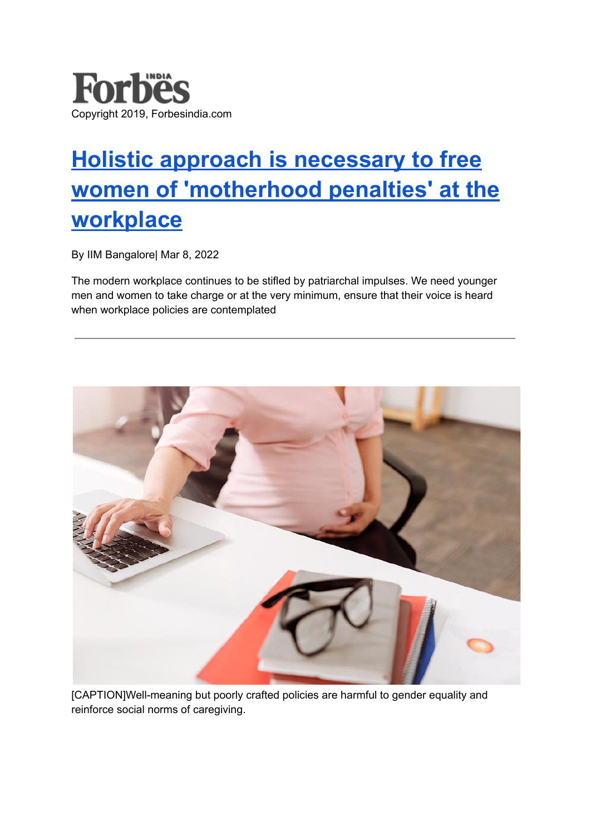

## **Holistic approach is [necessary](https://www.forbesindia.com/article/iim-bangalore/holistic-approach-is-necessary-to-free-women-of-motherhood-penalties-at-the-workplace/74281/1) to free women of ['motherhood](https://www.forbesindia.com/article/iim-bangalore/holistic-approach-is-necessary-to-free-women-of-motherhood-penalties-at-the-workplace/74281/1) penalties' at the [workplace](https://www.forbesindia.com/article/iim-bangalore/holistic-approach-is-necessary-to-free-women-of-motherhood-penalties-at-the-workplace/74281/1)**

By IIM Bangalore| Mar 8, 2022

The modern workplace continues to be stifled by patriarchal impulses. We need younger men and women to take charge or at the very minimum, ensure that their voice is heard when workplace policies are contemplated



[CAPTION]Well-meaning but poorly crafted policies are harmful to gender equality and reinforce social norms of caregiving.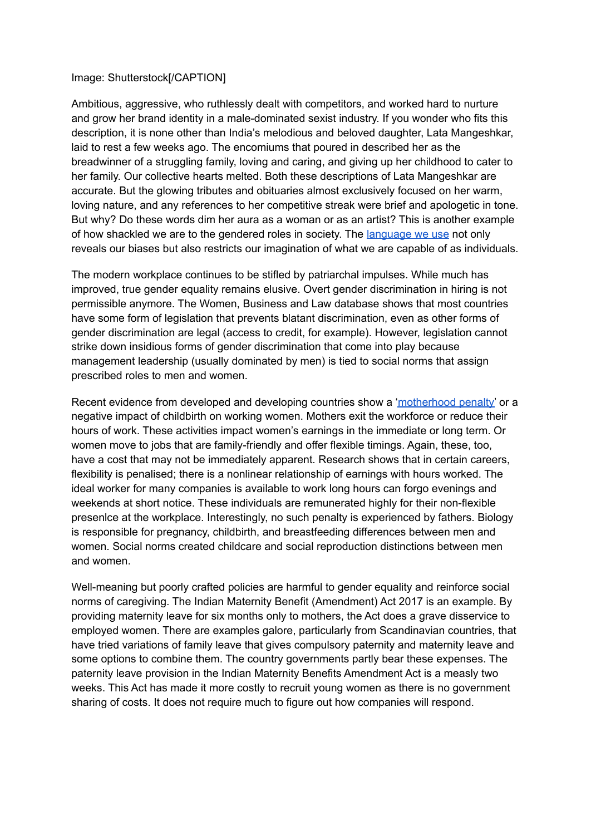## Image: Shutterstock[/CAPTION]

Ambitious, aggressive, who ruthlessly dealt with competitors, and worked hard to nurture and grow her brand identity in a male-dominated sexist industry. If you wonder who fits this description, it is none other than India's melodious and beloved daughter, Lata Mangeshkar, laid to rest a few weeks ago. The encomiums that poured in described her as the breadwinner of a struggling family, loving and caring, and giving up her childhood to cater to her family. Our collective hearts melted. Both these descriptions of Lata Mangeshkar are accurate. But the glowing tributes and obituaries almost exclusively focused on her warm, loving nature, and any references to her competitive streak were brief and apologetic in tone. But why? Do these words dim her aura as a woman or as an artist? This is another example of how shackled we are to the gendered roles in society. The [language](https://www.forbesindia.com/article/stanford/the-language-of-gender-bias-in-performance-reviews/71073/1) we use not only reveals our biases but also restricts our imagination of what we are capable of as individuals.

The modern workplace continues to be stifled by patriarchal impulses. While much has improved, true gender equality remains elusive. Overt gender discrimination in hiring is not permissible anymore. The Women, Business and Law database shows that most countries have some form of legislation that prevents blatant discrimination, even as other forms of gender discrimination are legal (access to credit, for example). However, legislation cannot strike down insidious forms of gender discrimination that come into play because management leadership (usually dominated by men) is tied to social norms that assign prescribed roles to men and women.

Recent evidence from developed and developing countries show a ['motherhood](https://www.forbesindia.com/blog/enterprise/need-of-the-hour-family-focused-policies-to-help-advance-gender-parity-at-a-faster-pace/) penalty' or a negative impact of childbirth on working women. Mothers exit the workforce or reduce their hours of work. These activities impact women's earnings in the immediate or long term. Or women move to jobs that are family-friendly and offer flexible timings. Again, these, too, have a cost that may not be immediately apparent. Research shows that in certain careers, flexibility is penalised; there is a nonlinear relationship of earnings with hours worked. The ideal worker for many companies is available to work long hours can forgo evenings and weekends at short notice. These individuals are remunerated highly for their non-flexible presenlce at the workplace. Interestingly, no such penalty is experienced by fathers. Biology is responsible for pregnancy, childbirth, and breastfeeding differences between men and women. Social norms created childcare and social reproduction distinctions between men and women.

Well-meaning but poorly crafted policies are harmful to gender equality and reinforce social norms of caregiving. The Indian Maternity Benefit (Amendment) Act 2017 is an example. By providing maternity leave for six months only to mothers, the Act does a grave disservice to employed women. There are examples galore, particularly from Scandinavian countries, that have tried variations of family leave that gives compulsory paternity and maternity leave and some options to combine them. The country governments partly bear these expenses. The paternity leave provision in the Indian Maternity Benefits Amendment Act is a measly two weeks. This Act has made it more costly to recruit young women as there is no government sharing of costs. It does not require much to figure out how companies will respond.